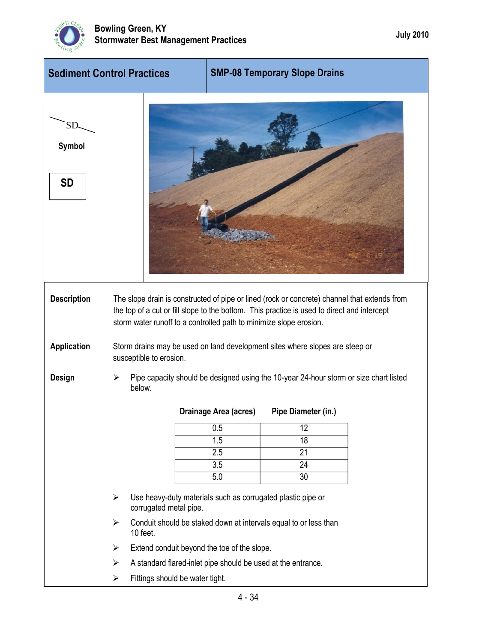

| <b>Sediment Control Practices</b> |   |                                                                                                         | <b>SMP-08 Temporary Slope Drains</b> |                                                                                                                                                                                             |  |  |
|-----------------------------------|---|---------------------------------------------------------------------------------------------------------|--------------------------------------|---------------------------------------------------------------------------------------------------------------------------------------------------------------------------------------------|--|--|
| SD.<br><b>Symbol</b><br><b>SD</b> |   |                                                                                                         |                                      |                                                                                                                                                                                             |  |  |
| <b>Description</b>                |   | storm water runoff to a controlled path to minimize slope erosion.                                      |                                      | The slope drain is constructed of pipe or lined (rock or concrete) channel that extends from<br>the top of a cut or fill slope to the bottom. This practice is used to direct and intercept |  |  |
| <b>Application</b>                |   | Storm drains may be used on land development sites where slopes are steep or<br>susceptible to erosion. |                                      |                                                                                                                                                                                             |  |  |
| Design                            | ⋗ | Pipe capacity should be designed using the 10-year 24-hour storm or size chart listed<br>below.         |                                      |                                                                                                                                                                                             |  |  |
|                                   |   |                                                                                                         | Drainage Area (acres)                | Pipe Diameter (in.)                                                                                                                                                                         |  |  |
|                                   |   |                                                                                                         | 0.5                                  | 12                                                                                                                                                                                          |  |  |
|                                   |   |                                                                                                         | 1.5                                  | 18                                                                                                                                                                                          |  |  |
|                                   |   |                                                                                                         | 2.5                                  | 21                                                                                                                                                                                          |  |  |
|                                   |   |                                                                                                         | 3.5                                  | 24                                                                                                                                                                                          |  |  |
|                                   |   |                                                                                                         | 5.0                                  | 30                                                                                                                                                                                          |  |  |
|                                   | ➤ | Use heavy-duty materials such as corrugated plastic pipe or<br>corrugated metal pipe.                   |                                      |                                                                                                                                                                                             |  |  |
|                                   | ➤ | 10 feet.                                                                                                |                                      | Conduit should be staked down at intervals equal to or less than                                                                                                                            |  |  |
|                                   | ➤ | Extend conduit beyond the toe of the slope.                                                             |                                      |                                                                                                                                                                                             |  |  |
|                                   | ➤ | A standard flared-inlet pipe should be used at the entrance.                                            |                                      |                                                                                                                                                                                             |  |  |
|                                   | ➤ | Fittings should be water tight.                                                                         |                                      |                                                                                                                                                                                             |  |  |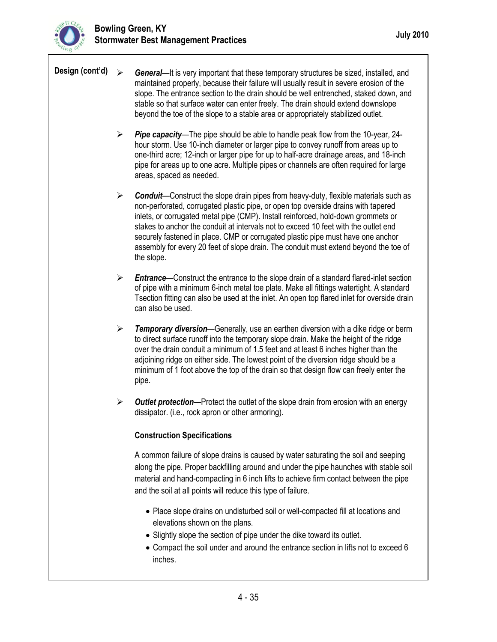

- **Design (cont'd)**  $\rightarrow$  *General*—It is very important that these temporary structures be sized, installed, and maintained properly, because their failure will usually result in severe erosion of the slope. The entrance section to the drain should be well entrenched, staked down, and stable so that surface water can enter freely. The drain should extend downslope beyond the toe of the slope to a stable area or appropriately stabilized outlet.
	- *Pipe capacity*—The pipe should be able to handle peak flow from the 10-year, 24 hour storm. Use 10-inch diameter or larger pipe to convey runoff from areas up to one-third acre; 12-inch or larger pipe for up to half-acre drainage areas, and 18-inch pipe for areas up to one acre. Multiple pipes or channels are often required for large areas, spaced as needed.
	- **Example 1** Conduit—Construct the slope drain pipes from heavy-duty, flexible materials such as non-perforated, corrugated plastic pipe, or open top overside drains with tapered inlets, or corrugated metal pipe (CMP). Install reinforced, hold-down grommets or stakes to anchor the conduit at intervals not to exceed 10 feet with the outlet end securely fastened in place. CMP or corrugated plastic pipe must have one anchor assembly for every 20 feet of slope drain. The conduit must extend beyond the toe of the slope.
	- *Entrance*—Construct the entrance to the slope drain of a standard flared-inlet section of pipe with a minimum 6-inch metal toe plate. Make all fittings watertight. A standard Tsection fitting can also be used at the inlet. An open top flared inlet for overside drain can also be used.
	- *Temporary diversion*—Generally, use an earthen diversion with a dike ridge or berm to direct surface runoff into the temporary slope drain. Make the height of the ridge over the drain conduit a minimum of 1.5 feet and at least 6 inches higher than the adjoining ridge on either side. The lowest point of the diversion ridge should be a minimum of 1 foot above the top of the drain so that design flow can freely enter the pipe.
	- *Outlet protection*—Protect the outlet of the slope drain from erosion with an energy dissipator. (i.e., rock apron or other armoring).

## **Construction Specifications**

A common failure of slope drains is caused by water saturating the soil and seeping along the pipe. Proper backfilling around and under the pipe haunches with stable soil material and hand-compacting in 6 inch lifts to achieve firm contact between the pipe and the soil at all points will reduce this type of failure.

- Place slope drains on undisturbed soil or well-compacted fill at locations and elevations shown on the plans.
- Slightly slope the section of pipe under the dike toward its outlet.
- Compact the soil under and around the entrance section in lifts not to exceed 6 inches.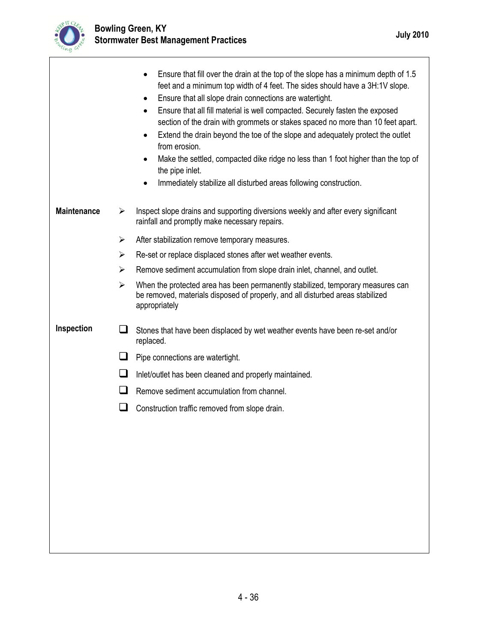

1

|                    |        | Ensure that fill over the drain at the top of the slope has a minimum depth of 1.5<br>$\bullet$<br>feet and a minimum top width of 4 feet. The sides should have a 3H:1V slope.<br>Ensure that all slope drain connections are watertight.<br>$\bullet$<br>Ensure that all fill material is well compacted. Securely fasten the exposed<br>$\bullet$<br>section of the drain with grommets or stakes spaced no more than 10 feet apart.<br>Extend the drain beyond the toe of the slope and adequately protect the outlet<br>from erosion.<br>Make the settled, compacted dike ridge no less than 1 foot higher than the top of<br>the pipe inlet.<br>Immediately stabilize all disturbed areas following construction. |  |  |
|--------------------|--------|-------------------------------------------------------------------------------------------------------------------------------------------------------------------------------------------------------------------------------------------------------------------------------------------------------------------------------------------------------------------------------------------------------------------------------------------------------------------------------------------------------------------------------------------------------------------------------------------------------------------------------------------------------------------------------------------------------------------------|--|--|
| <b>Maintenance</b> | ➤      | Inspect slope drains and supporting diversions weekly and after every significant<br>rainfall and promptly make necessary repairs.                                                                                                                                                                                                                                                                                                                                                                                                                                                                                                                                                                                      |  |  |
|                    | ➤      | After stabilization remove temporary measures.                                                                                                                                                                                                                                                                                                                                                                                                                                                                                                                                                                                                                                                                          |  |  |
|                    | ≻      | Re-set or replace displaced stones after wet weather events.                                                                                                                                                                                                                                                                                                                                                                                                                                                                                                                                                                                                                                                            |  |  |
|                    | ≻      | Remove sediment accumulation from slope drain inlet, channel, and outlet.                                                                                                                                                                                                                                                                                                                                                                                                                                                                                                                                                                                                                                               |  |  |
|                    | ➤      | When the protected area has been permanently stabilized, temporary measures can<br>be removed, materials disposed of properly, and all disturbed areas stabilized<br>appropriately                                                                                                                                                                                                                                                                                                                                                                                                                                                                                                                                      |  |  |
| Inspection         | ப      | Stones that have been displaced by wet weather events have been re-set and/or<br>replaced.                                                                                                                                                                                                                                                                                                                                                                                                                                                                                                                                                                                                                              |  |  |
|                    | ப      | Pipe connections are watertight.                                                                                                                                                                                                                                                                                                                                                                                                                                                                                                                                                                                                                                                                                        |  |  |
|                    | $\Box$ | Inlet/outlet has been cleaned and properly maintained.                                                                                                                                                                                                                                                                                                                                                                                                                                                                                                                                                                                                                                                                  |  |  |
|                    | l 1    | Remove sediment accumulation from channel.                                                                                                                                                                                                                                                                                                                                                                                                                                                                                                                                                                                                                                                                              |  |  |
|                    | ⊔      | Construction traffic removed from slope drain.                                                                                                                                                                                                                                                                                                                                                                                                                                                                                                                                                                                                                                                                          |  |  |
|                    |        |                                                                                                                                                                                                                                                                                                                                                                                                                                                                                                                                                                                                                                                                                                                         |  |  |